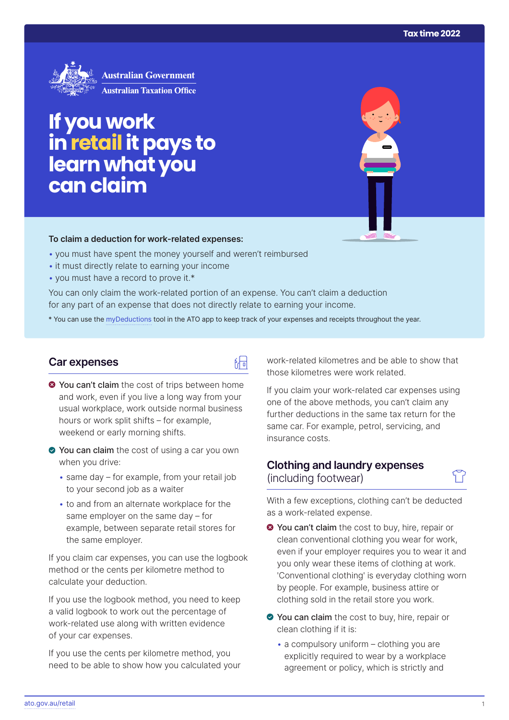

# **If you work inretail it pays to learn what you can claim**

#### **To claim a deduction for work‑related expenses:**

- you must have spent the money yourself and weren't reimbursed
- it must directly relate to earning your income
- you must have a record to prove it.\*

You can only claim the work-related portion of an expense. You can't claim a deduction for any part of an expense that does not directly relate to earning your income.

\* You can use the [myDeductions](https://ato.gov.au/mydeductions) tool in the ATO app to keep track of your expenses and receipts throughout the year.

品

#### **Car expenses**

- $\bullet$  **You can't claim** the cost of trips between home and work, even if you live a long way from your usual workplace, work outside normal business hours or work split shifts – for example, weekend or early morning shifts.
- ◆ You can claim the cost of using a car you own when you drive:
	- same day for example, from your retail job to your second job as a waiter
	- to and from an alternate workplace for the same employer on the same day – for example, between separate retail stores for the same employer.

If you claim car expenses, you can use the logbook method or the cents per kilometre method to calculate your deduction.

If you use the logbook method, you need to keep a valid logbook to work out the percentage of work-related use along with written evidence of your car expenses.

If you use the cents per kilometre method, you need to be able to show how you calculated your work-related kilometres and be able to show that those kilometres were work related.

If you claim your work-related car expenses using one of the above methods, you can't claim any further deductions in the same tax return for the same car. For example, petrol, servicing, and insurance costs.

### **Clothing and laundry expenses**  (including footwear)

With a few exceptions, clothing can't be deducted as a work-related expense.

- **O** You can't claim the cost to buy, hire, repair or clean conventional clothing you wear for work, even if your employer requires you to wear it and you only wear these items of clothing at work. 'Conventional clothing' is everyday clothing worn by people. For example, business attire or clothing sold in the retail store you work.
- You can claim the cost to buy, hire, repair or clean clothing if it is:
	- $\bullet$  a compulsory uniform clothing you are explicitly required to wear by a workplace agreement or policy, which is strictly and